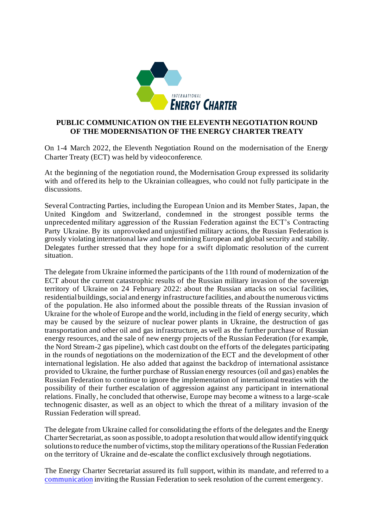

## **PUBLIC COMMUNICATION ON THE ELEVENTH NEGOTIATION ROUND OF THE MODERNISATION OF THE ENERGY CHARTER TREATY**

On 1-4 March 2022, the Eleventh Negotiation Round on the modernisation of the Energy Charter Treaty (ECT) was held by videoconference.

At the beginning of the negotiation round, the Modernisation Group expressed its solidarity with and offered its help to the Ukrainian colleagues, who could not fully participate in the discussions.

Several Contracting Parties, including the European Union and its Member States, Japan, the United Kingdom and Switzerland, condemned in the strongest possible terms the unprecedented military aggression of the Russian Federation against the ECT's Contracting Party Ukraine. By its unprovoked and unjustified military actions, the Russian Federation is grossly violating international law and undermining European and global security and stability. Delegates further stressed that they hope for a swift diplomatic resolution of the current situation.

The delegate from Ukraine informed the participants of the 11th round of modernization of the ECT about the current catastrophic results of the Russian military invasion of the sovereign territory of Ukraine on 24 February 2022: about the Russian attacks on social facilities, residential buildings, social and energy infrastructure facilities, and about the numerous victims of the population. He also informed about the possible threats of the Russian invasion of Ukraine for the whole of Europe and the world, including in the field of energy security, which may be caused by the seizure of nuclear power plants in Ukraine, the destruction of gas transportation and other oil and gas infrastructure, as well as the further purchase of Russian energy resources, and the sale of new energy projects of the Russian Federation (for example, the Nord Stream-2 gas pipeline), which cast doubt on the efforts of the delegates participating in the rounds of negotiations on the modernization of the ECT and the development of other international legislation. He also added that against the backdrop of international assistance provided to Ukraine, the further purchase of Russian energy resources (oil and gas) enables the Russian Federation to continue to ignore the implementation of international treaties with the possibility of their further escalation of aggression against any participant in international relations. Finally, he concluded that otherwise, Europe may become a witness to a large-scale technogenic disaster, as well as an object to which the threat of a military invasion of the Russian Federation will spread.

The delegate from Ukraine called for consolidating the efforts of the delegates and the Energy Charter Secretariat, as soon as possible, to adopt a resolution that would allow identifying quick solutions to reduce the number of victims, stop the military operations of the Russian Federation on the territory of Ukraine and de-escalate the conflict exclusively through negotiations.

The Energy Charter Secretariat assured its full support, within its mandate, and referred to a [communication](https://www.energycharter.org/media/news/article/secretary-general-invites-russia-to-participate-in-the-energy-security-contact-group-to-resolve-emer/?tx_news_pi1%5Bcontroller%5D=News&tx_news_pi1%5Baction%5D=detail&cHash=3e4fa6777b3199e72b498b110eee3841) inviting the Russian Federation to seek resolution of the current emergency.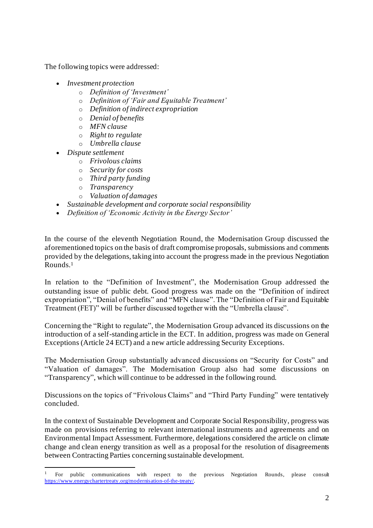The following topics were addressed:

- *Investment protection* 
	- o *Definition of 'Investment'*
	- o *Definition of 'Fair and Equitable Treatment'*
	- o *Definition of indirect expropriation*
	- o *Denial of benefits*
	- o *MFN clause*
	- o *Right to regulate*
	- o *Umbrella clause*
- *Dispute settlement* 
	- o *Frivolous claims*
	- o *Security for costs*
	- o *Third party funding*
	- o *Transparency*
	- o *Valuation of damages*
- *Sustainable development and corporate social responsibility*
- *Definition of 'Economic Activity in the Energy Sector'*

In the course of the eleventh Negotiation Round, the Modernisation Group discussed the aforementioned topics on the basis of draft compromise proposals, submissions and comments provided by the delegations, taking into account the progress made in the previous Negotiation Rounds. 1

In relation to the "Definition of Investment", the Modernisation Group addressed the outstanding issue of public debt. Good progress was made on the "Definition of indirect expropriation", "Denial of benefits" and "MFN clause". The "Definition of Fair and Equitable Treatment (FET)" will be further discussed together with the "Umbrella clause".

Concerning the "Right to regulate", the Modernisation Group advanced its discussions on the introduction of a self-standing article in the ECT. In addition, progress was made on General Exceptions (Article 24 ECT) and a new article addressing Security Exceptions.

The Modernisation Group substantially advanced discussions on "Security for Costs" and "Valuation of damages". The Modernisation Group also had some discussions on "Transparency", which will continue to be addressed in the following round.

Discussions on the topics of "Frivolous Claims" and "Third Party Funding" were tentatively concluded.

In the context of Sustainable Development and Corporate Social Responsibility, progress was made on provisions referring to relevant international instruments and agreements and on Environmental Impact Assessment. Furthermore, delegations considered the article on climate change and clean energy transition as well as a proposal for the resolution of disagreements between Contracting Parties concerning sustainable development.

<sup>1</sup> For public communications with respect to the previous Negotiation Rounds, please consult <https://www.energychartertreaty.org/modernisation-of-the-treaty/>.